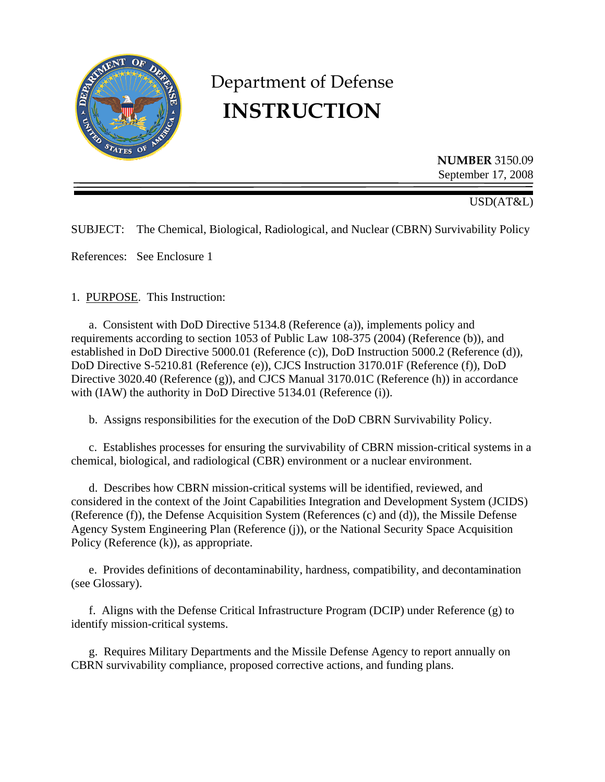

# Department of Defense **INSTRUCTION**

**NUMBER** 3150.09 September 17, 2008

USD(AT&L)

SUBJECT: The Chemical, Biological, Radiological, and Nuclear (CBRN) Survivability Policy

References: See Enclosure 1

1. PURPOSE. This Instruction:

 a. Consistent with DoD Directive 5134.8 (Reference (a)), implements policy and requirements according to section 1053 of Public Law 108-375 (2004) (Reference (b)), and established in DoD Directive 5000.01 (Reference (c)), DoD Instruction 5000.2 (Reference (d)), DoD Directive S-5210.81 (Reference (e)), CJCS Instruction 3170.01F (Reference (f)), DoD Directive 3020.40 (Reference (g)), and CJCS Manual 3170.01C (Reference (h)) in accordance with (IAW) the authority in DoD Directive 5134.01 (Reference (i)).

b. Assigns responsibilities for the execution of the DoD CBRN Survivability Policy.

 c. Establishes processes for ensuring the survivability of CBRN mission-critical systems in a chemical, biological, and radiological (CBR) environment or a nuclear environment.

 d. Describes how CBRN mission-critical systems will be identified, reviewed, and considered in the context of the Joint Capabilities Integration and Development System (JCIDS) (Reference (f)), the Defense Acquisition System (References (c) and (d)), the Missile Defense Agency System Engineering Plan (Reference (j)), or the National Security Space Acquisition Policy (Reference (k)), as appropriate.

 e. Provides definitions of decontaminability, hardness, compatibility, and decontamination (see Glossary).

 f. Aligns with the Defense Critical Infrastructure Program (DCIP) under Reference (g) to identify mission-critical systems.

 g. Requires Military Departments and the Missile Defense Agency to report annually on CBRN survivability compliance, proposed corrective actions, and funding plans.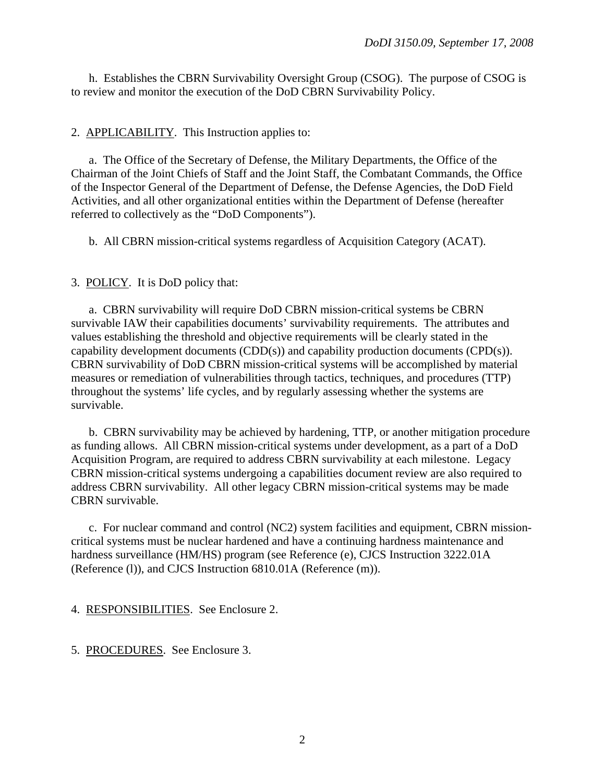h. Establishes the CBRN Survivability Oversight Group (CSOG). The purpose of CSOG is to review and monitor the execution of the DoD CBRN Survivability Policy.

# 2. APPLICABILITY. This Instruction applies to:

 a. The Office of the Secretary of Defense, the Military Departments, the Office of the Chairman of the Joint Chiefs of Staff and the Joint Staff, the Combatant Commands, the Office of the Inspector General of the Department of Defense, the Defense Agencies, the DoD Field Activities, and all other organizational entities within the Department of Defense (hereafter referred to collectively as the "DoD Components").

b. All CBRN mission-critical systems regardless of Acquisition Category (ACAT).

3. POLICY. It is DoD policy that:

 a. CBRN survivability will require DoD CBRN mission-critical systems be CBRN survivable IAW their capabilities documents' survivability requirements. The attributes and values establishing the threshold and objective requirements will be clearly stated in the capability development documents (CDD(s)) and capability production documents (CPD(s)). CBRN survivability of DoD CBRN mission-critical systems will be accomplished by material measures or remediation of vulnerabilities through tactics, techniques, and procedures (TTP) throughout the systems' life cycles, and by regularly assessing whether the systems are survivable.

 b. CBRN survivability may be achieved by hardening, TTP, or another mitigation procedure as funding allows. All CBRN mission-critical systems under development, as a part of a DoD Acquisition Program, are required to address CBRN survivability at each milestone. Legacy CBRN mission-critical systems undergoing a capabilities document review are also required to address CBRN survivability. All other legacy CBRN mission-critical systems may be made CBRN survivable.

 c. For nuclear command and control (NC2) system facilities and equipment, CBRN missioncritical systems must be nuclear hardened and have a continuing hardness maintenance and hardness surveillance (HM/HS) program (see Reference (e), CJCS Instruction 3222.01A (Reference (l)), and CJCS Instruction 6810.01A (Reference (m)).

4. RESPONSIBILITIES. See Enclosure 2.

5. PROCEDURES. See Enclosure 3.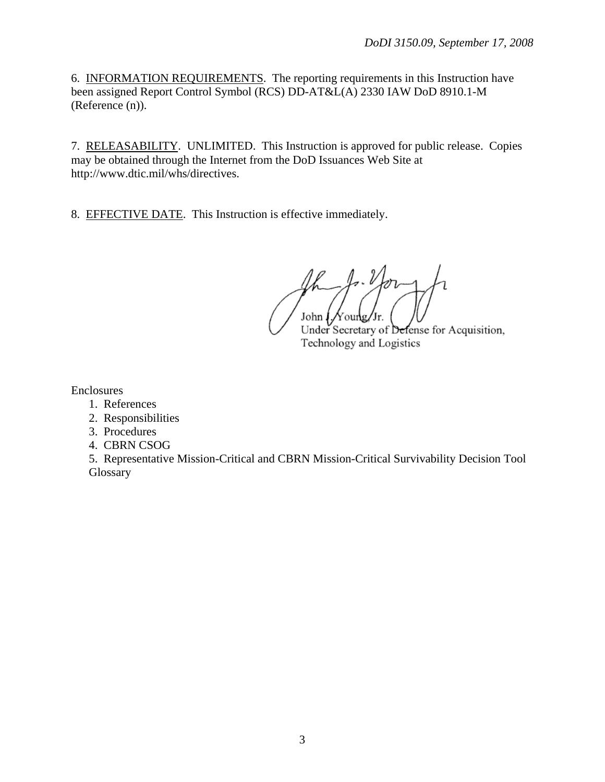6. INFORMATION REQUIREMENTS. The reporting requirements in this Instruction have been assigned Report Control Symbol (RCS) DD-AT&L(A) 2330 IAW DoD 8910.1-M (Reference (n)).

7. RELEASABILITY. UNLIMITED. This Instruction is approved for public release. Copies may be obtained through the Internet from the DoD Issuances Web Site at http://www.dtic.mil/whs/directives.

8. EFFECTIVE DATE. This Instruction is effective immediately.

 $\mathcal{A}\cdot\mathcal{V}$ John  $\oint$  Noung/Jr. Under Secretary of Defense for Acquisition,

Technology and Logistics

Enclosures

- 1. References
- 2. Responsibilities
- 3. Procedures
- 4. CBRN CSOG

 5. Representative Mission-Critical and CBRN Mission-Critical Survivability Decision Tool **Glossary**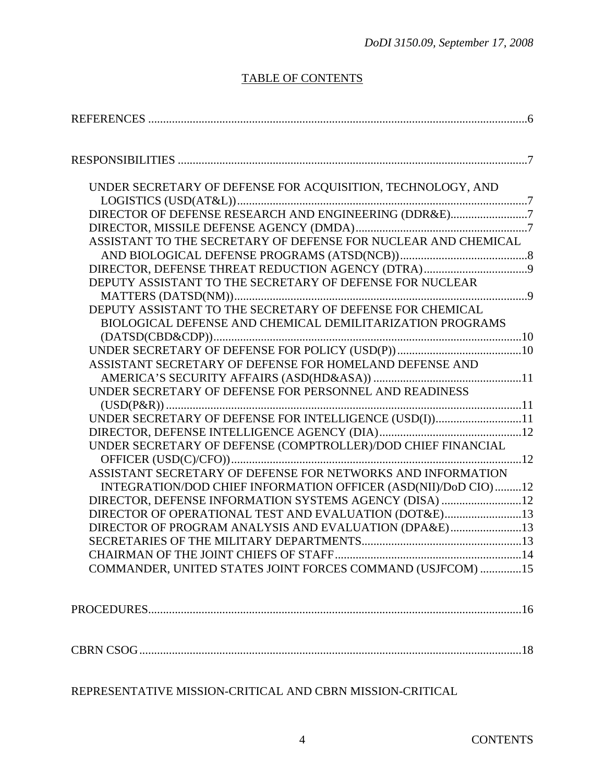# TABLE OF CONTENTS

| UNDER SECRETARY OF DEFENSE FOR ACQUISITION, TECHNOLOGY, AND    |  |
|----------------------------------------------------------------|--|
|                                                                |  |
| DIRECTOR OF DEFENSE RESEARCH AND ENGINEERING (DDR&E)7          |  |
|                                                                |  |
| ASSISTANT TO THE SECRETARY OF DEFENSE FOR NUCLEAR AND CHEMICAL |  |
|                                                                |  |
|                                                                |  |
| DEPUTY ASSISTANT TO THE SECRETARY OF DEFENSE FOR NUCLEAR       |  |
|                                                                |  |
| DEPUTY ASSISTANT TO THE SECRETARY OF DEFENSE FOR CHEMICAL      |  |
| BIOLOGICAL DEFENSE AND CHEMICAL DEMILITARIZATION PROGRAMS      |  |
|                                                                |  |
|                                                                |  |
| ASSISTANT SECRETARY OF DEFENSE FOR HOMELAND DEFENSE AND        |  |
|                                                                |  |
| UNDER SECRETARY OF DEFENSE FOR PERSONNEL AND READINESS         |  |
|                                                                |  |
| UNDER SECRETARY OF DEFENSE FOR INTELLIGENCE (USD(I))11         |  |
|                                                                |  |
| UNDER SECRETARY OF DEFENSE (COMPTROLLER)/DOD CHIEF FINANCIAL   |  |
|                                                                |  |
| ASSISTANT SECRETARY OF DEFENSE FOR NETWORKS AND INFORMATION    |  |
| INTEGRATION/DOD CHIEF INFORMATION OFFICER (ASD(NII)/DoD CIO)12 |  |
| DIRECTOR, DEFENSE INFORMATION SYSTEMS AGENCY (DISA) 12         |  |
| DIRECTOR OF OPERATIONAL TEST AND EVALUATION (DOT&E)13          |  |
| DIRECTOR OF PROGRAM ANALYSIS AND EVALUATION (DPA&E)13          |  |
|                                                                |  |
|                                                                |  |
| COMMANDER, UNITED STATES JOINT FORCES COMMAND (USJFCOM) 15     |  |
|                                                                |  |
|                                                                |  |
|                                                                |  |
|                                                                |  |
| REPRESENTATIVE MISSION-CRITICAL AND CBRN MISSION-CRITICAL      |  |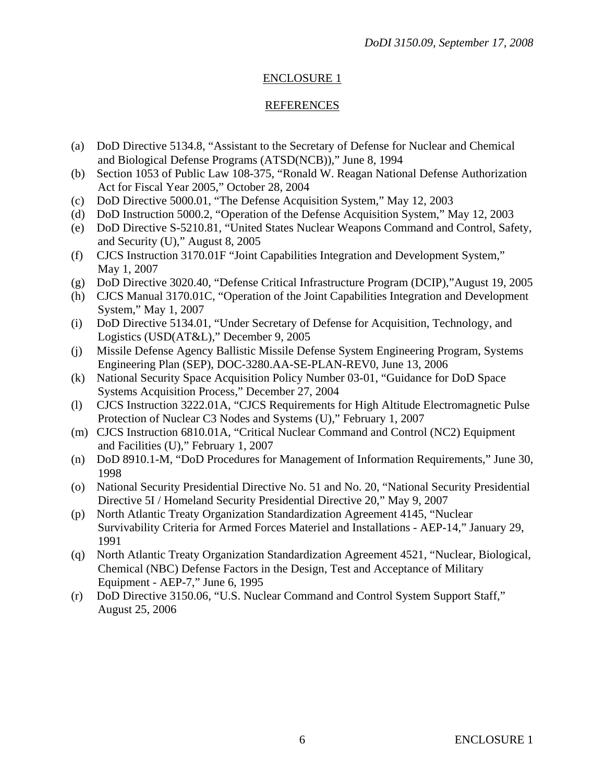#### REFERENCES

- (a) DoD Directive 5134.8, "Assistant to the Secretary of Defense for Nuclear and Chemical and Biological Defense Programs (ATSD(NCB))," June 8, 1994
- (b) Section 1053 of Public Law 108-375, "Ronald W. Reagan National Defense Authorization Act for Fiscal Year 2005," October 28, 2004
- (c) DoD Directive 5000.01, "The Defense Acquisition System," May 12, 2003
- (d) DoD Instruction 5000.2, "Operation of the Defense Acquisition System," May 12, 2003
- (e) DoD Directive S-5210.81, "United States Nuclear Weapons Command and Control, Safety, and Security (U)," August 8, 2005
- (f) CJCS Instruction 3170.01F "Joint Capabilities Integration and Development System," May 1, 2007
- (g) DoD Directive 3020.40, "Defense Critical Infrastructure Program (DCIP),"August 19, 2005
- (h) CJCS Manual 3170.01C, "Operation of the Joint Capabilities Integration and Development System," May 1, 2007
- (i) DoD Directive 5134.01, "Under Secretary of Defense for Acquisition, Technology, and Logistics (USD(AT&L)," December 9, 2005
- (j) Missile Defense Agency Ballistic Missile Defense System Engineering Program, Systems Engineering Plan (SEP), DOC-3280.AA-SE-PLAN-REV0, June 13, 2006
- (k) National Security Space Acquisition Policy Number 03-01, "Guidance for DoD Space Systems Acquisition Process," December 27, 2004
- (l) CJCS Instruction 3222.01A, "CJCS Requirements for High Altitude Electromagnetic Pulse Protection of Nuclear C3 Nodes and Systems (U)," February 1, 2007
- (m) CJCS Instruction 6810.01A, "Critical Nuclear Command and Control (NC2) Equipment and Facilities (U)," February 1, 2007
- (n) DoD 8910.1-M, "DoD Procedures for Management of Information Requirements," June 30, 1998
- (o) National Security Presidential Directive No. 51 and No. 20, "National Security Presidential Directive 5I / Homeland Security Presidential Directive 20," May 9, 2007
- (p) North Atlantic Treaty Organization Standardization Agreement 4145, "Nuclear Survivability Criteria for Armed Forces Materiel and Installations - AEP-14," January 29, 1991
- (q) North Atlantic Treaty Organization Standardization Agreement 4521, "Nuclear, Biological, Chemical (NBC) Defense Factors in the Design, Test and Acceptance of Military Equipment - AEP-7," June 6, 1995
- (r) DoD Directive 3150.06, "U.S. Nuclear Command and Control System Support Staff," August 25, 2006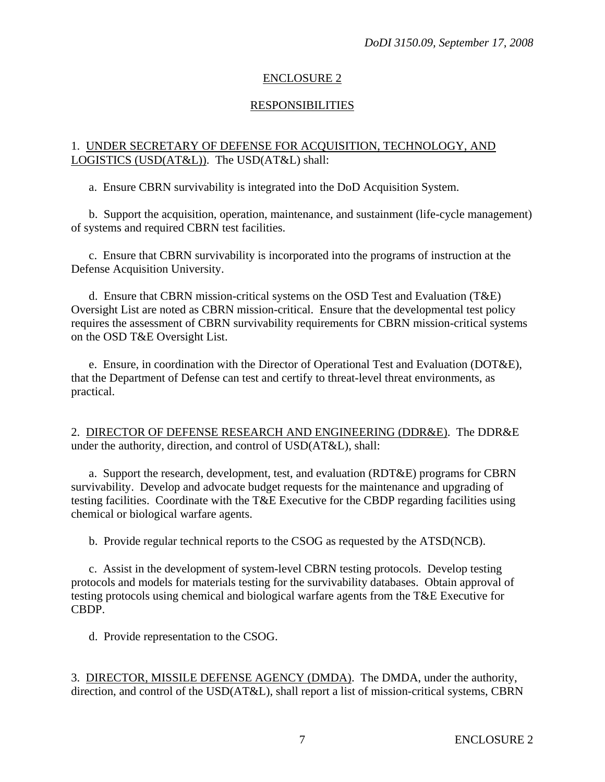# RESPONSIBILITIES

#### 1. UNDER SECRETARY OF DEFENSE FOR ACQUISITION, TECHNOLOGY, AND LOGISTICS (USD(AT&L)). The USD(AT&L) shall:

a. Ensure CBRN survivability is integrated into the DoD Acquisition System.

 b. Support the acquisition, operation, maintenance, and sustainment (life-cycle management) of systems and required CBRN test facilities.

 c. Ensure that CBRN survivability is incorporated into the programs of instruction at the Defense Acquisition University.

 d. Ensure that CBRN mission-critical systems on the OSD Test and Evaluation (T&E) Oversight List are noted as CBRN mission-critical. Ensure that the developmental test policy requires the assessment of CBRN survivability requirements for CBRN mission-critical systems on the OSD T&E Oversight List.

 e. Ensure, in coordination with the Director of Operational Test and Evaluation (DOT&E), that the Department of Defense can test and certify to threat-level threat environments, as practical.

2. DIRECTOR OF DEFENSE RESEARCH AND ENGINEERING (DDR&E). The DDR&E under the authority, direction, and control of USD(AT&L), shall:

 a. Support the research, development, test, and evaluation (RDT&E) programs for CBRN survivability. Develop and advocate budget requests for the maintenance and upgrading of testing facilities. Coordinate with the T&E Executive for the CBDP regarding facilities using chemical or biological warfare agents.

b. Provide regular technical reports to the CSOG as requested by the ATSD(NCB).

 c. Assist in the development of system-level CBRN testing protocols. Develop testing protocols and models for materials testing for the survivability databases. Obtain approval of testing protocols using chemical and biological warfare agents from the T&E Executive for CBDP.

d. Provide representation to the CSOG.

3. DIRECTOR, MISSILE DEFENSE AGENCY (DMDA). The DMDA, under the authority, direction, and control of the USD(AT&L), shall report a list of mission-critical systems, CBRN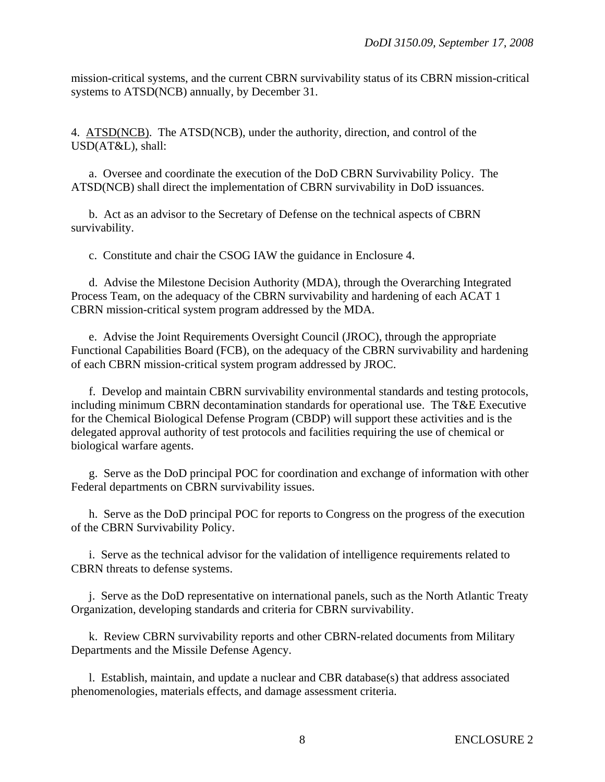mission-critical systems, and the current CBRN survivability status of its CBRN mission-critical systems to ATSD(NCB) annually, by December 31.

4. ATSD(NCB). The ATSD(NCB), under the authority, direction, and control of the USD(AT&L), shall:

 a. Oversee and coordinate the execution of the DoD CBRN Survivability Policy. The ATSD(NCB) shall direct the implementation of CBRN survivability in DoD issuances.

 b. Act as an advisor to the Secretary of Defense on the technical aspects of CBRN survivability.

c. Constitute and chair the CSOG IAW the guidance in Enclosure 4.

 d. Advise the Milestone Decision Authority (MDA), through the Overarching Integrated Process Team, on the adequacy of the CBRN survivability and hardening of each ACAT 1 CBRN mission-critical system program addressed by the MDA.

 e. Advise the Joint Requirements Oversight Council (JROC), through the appropriate Functional Capabilities Board (FCB), on the adequacy of the CBRN survivability and hardening of each CBRN mission-critical system program addressed by JROC.

 f. Develop and maintain CBRN survivability environmental standards and testing protocols, including minimum CBRN decontamination standards for operational use. The T&E Executive for the Chemical Biological Defense Program (CBDP) will support these activities and is the delegated approval authority of test protocols and facilities requiring the use of chemical or biological warfare agents.

 g. Serve as the DoD principal POC for coordination and exchange of information with other Federal departments on CBRN survivability issues.

 h. Serve as the DoD principal POC for reports to Congress on the progress of the execution of the CBRN Survivability Policy.

 i. Serve as the technical advisor for the validation of intelligence requirements related to CBRN threats to defense systems.

 j. Serve as the DoD representative on international panels, such as the North Atlantic Treaty Organization, developing standards and criteria for CBRN survivability.

 k. Review CBRN survivability reports and other CBRN-related documents from Military Departments and the Missile Defense Agency.

 l. Establish, maintain, and update a nuclear and CBR database(s) that address associated phenomenologies, materials effects, and damage assessment criteria.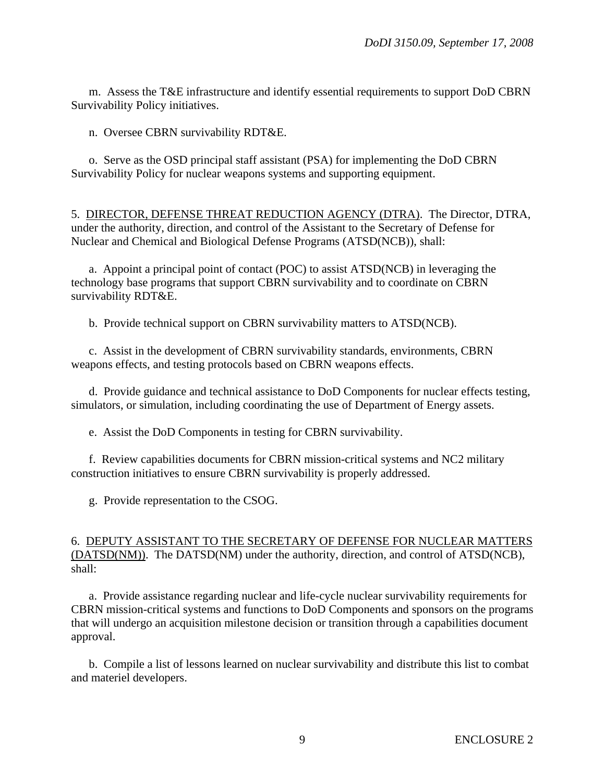m. Assess the T&E infrastructure and identify essential requirements to support DoD CBRN Survivability Policy initiatives.

n. Oversee CBRN survivability RDT&E.

 o. Serve as the OSD principal staff assistant (PSA) for implementing the DoD CBRN Survivability Policy for nuclear weapons systems and supporting equipment.

5. DIRECTOR, DEFENSE THREAT REDUCTION AGENCY (DTRA). The Director, DTRA, under the authority, direction, and control of the Assistant to the Secretary of Defense for Nuclear and Chemical and Biological Defense Programs (ATSD(NCB)), shall:

 a. Appoint a principal point of contact (POC) to assist ATSD(NCB) in leveraging the technology base programs that support CBRN survivability and to coordinate on CBRN survivability RDT&E.

b. Provide technical support on CBRN survivability matters to ATSD(NCB).

 c. Assist in the development of CBRN survivability standards, environments, CBRN weapons effects, and testing protocols based on CBRN weapons effects.

 d. Provide guidance and technical assistance to DoD Components for nuclear effects testing, simulators, or simulation, including coordinating the use of Department of Energy assets.

e. Assist the DoD Components in testing for CBRN survivability.

 f. Review capabilities documents for CBRN mission-critical systems and NC2 military construction initiatives to ensure CBRN survivability is properly addressed.

g. Provide representation to the CSOG.

#### 6. DEPUTY ASSISTANT TO THE SECRETARY OF DEFENSE FOR NUCLEAR MATTERS (DATSD(NM)). The DATSD(NM) under the authority, direction, and control of ATSD(NCB), shall:

 a. Provide assistance regarding nuclear and life-cycle nuclear survivability requirements for CBRN mission-critical systems and functions to DoD Components and sponsors on the programs that will undergo an acquisition milestone decision or transition through a capabilities document approval.

 b. Compile a list of lessons learned on nuclear survivability and distribute this list to combat and materiel developers.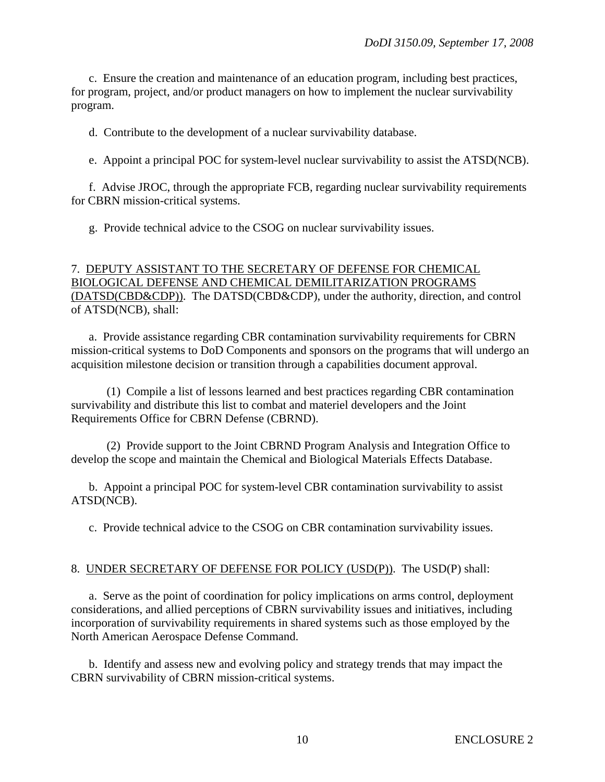c. Ensure the creation and maintenance of an education program, including best practices, for program, project, and/or product managers on how to implement the nuclear survivability program.

d. Contribute to the development of a nuclear survivability database.

e. Appoint a principal POC for system-level nuclear survivability to assist the ATSD(NCB).

 f. Advise JROC, through the appropriate FCB, regarding nuclear survivability requirements for CBRN mission-critical systems.

g. Provide technical advice to the CSOG on nuclear survivability issues.

# 7. DEPUTY ASSISTANT TO THE SECRETARY OF DEFENSE FOR CHEMICAL BIOLOGICAL DEFENSE AND CHEMICAL DEMILITARIZATION PROGRAMS (DATSD(CBD&CDP)). The DATSD(CBD&CDP), under the authority, direction, and control of ATSD(NCB), shall:

 a. Provide assistance regarding CBR contamination survivability requirements for CBRN mission-critical systems to DoD Components and sponsors on the programs that will undergo an acquisition milestone decision or transition through a capabilities document approval.

 (1) Compile a list of lessons learned and best practices regarding CBR contamination survivability and distribute this list to combat and materiel developers and the Joint Requirements Office for CBRN Defense (CBRND).

 (2) Provide support to the Joint CBRND Program Analysis and Integration Office to develop the scope and maintain the Chemical and Biological Materials Effects Database.

 b. Appoint a principal POC for system-level CBR contamination survivability to assist ATSD(NCB).

c. Provide technical advice to the CSOG on CBR contamination survivability issues.

#### 8. UNDER SECRETARY OF DEFENSE FOR POLICY (USD(P)). The USD(P) shall:

 a. Serve as the point of coordination for policy implications on arms control, deployment considerations, and allied perceptions of CBRN survivability issues and initiatives, including incorporation of survivability requirements in shared systems such as those employed by the North American Aerospace Defense Command.

 b. Identify and assess new and evolving policy and strategy trends that may impact the CBRN survivability of CBRN mission-critical systems.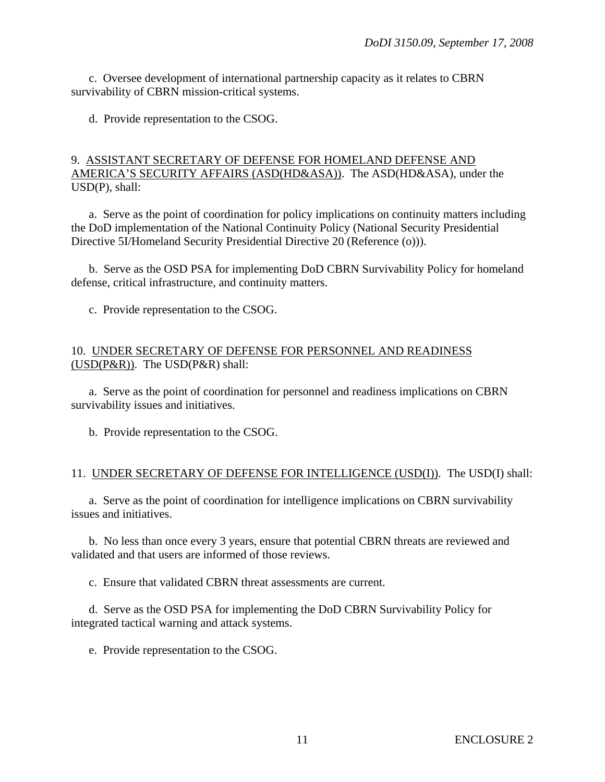c. Oversee development of international partnership capacity as it relates to CBRN survivability of CBRN mission-critical systems.

d. Provide representation to the CSOG.

#### 9. ASSISTANT SECRETARY OF DEFENSE FOR HOMELAND DEFENSE AND AMERICA'S SECURITY AFFAIRS (ASD(HD&ASA)). The ASD(HD&ASA), under the USD(P), shall:

 a. Serve as the point of coordination for policy implications on continuity matters including the DoD implementation of the National Continuity Policy (National Security Presidential Directive 5I/Homeland Security Presidential Directive 20 (Reference (o))).

 b. Serve as the OSD PSA for implementing DoD CBRN Survivability Policy for homeland defense, critical infrastructure, and continuity matters.

c. Provide representation to the CSOG.

#### 10. UNDER SECRETARY OF DEFENSE FOR PERSONNEL AND READINESS (USD(P&R)). The USD(P&R) shall:

 a. Serve as the point of coordination for personnel and readiness implications on CBRN survivability issues and initiatives.

b. Provide representation to the CSOG.

#### 11. UNDER SECRETARY OF DEFENSE FOR INTELLIGENCE (USD(I)). The USD(I) shall:

 a. Serve as the point of coordination for intelligence implications on CBRN survivability issues and initiatives.

 b. No less than once every 3 years, ensure that potential CBRN threats are reviewed and validated and that users are informed of those reviews.

c. Ensure that validated CBRN threat assessments are current.

 d. Serve as the OSD PSA for implementing the DoD CBRN Survivability Policy for integrated tactical warning and attack systems.

e. Provide representation to the CSOG.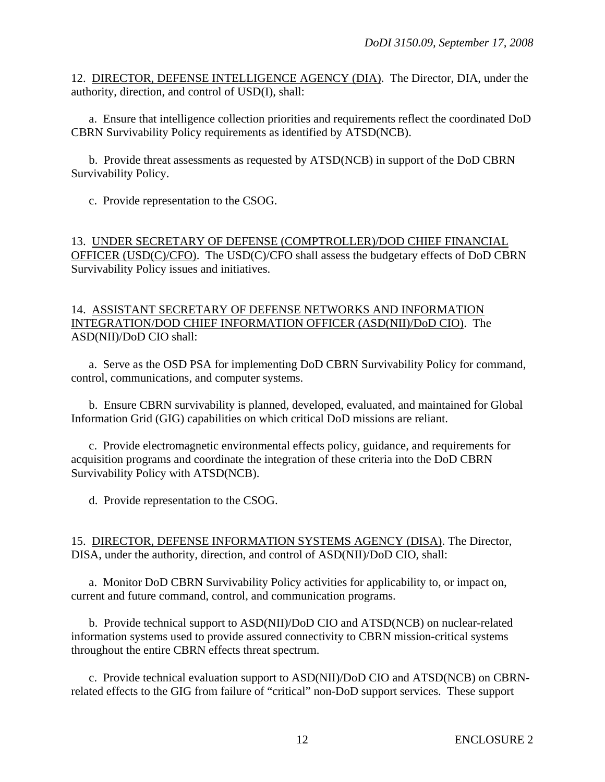12. DIRECTOR, DEFENSE INTELLIGENCE AGENCY (DIA). The Director, DIA, under the authority, direction, and control of USD(I), shall:

 a. Ensure that intelligence collection priorities and requirements reflect the coordinated DoD CBRN Survivability Policy requirements as identified by ATSD(NCB).

 b. Provide threat assessments as requested by ATSD(NCB) in support of the DoD CBRN Survivability Policy.

c. Provide representation to the CSOG.

13. UNDER SECRETARY OF DEFENSE (COMPTROLLER)/DOD CHIEF FINANCIAL OFFICER (USD(C)/CFO). The USD(C)/CFO shall assess the budgetary effects of DoD CBRN Survivability Policy issues and initiatives.

#### 14. ASSISTANT SECRETARY OF DEFENSE NETWORKS AND INFORMATION INTEGRATION/DOD CHIEF INFORMATION OFFICER (ASD(NII)/DoD CIO). The ASD(NII)/DoD CIO shall:

 a. Serve as the OSD PSA for implementing DoD CBRN Survivability Policy for command, control, communications, and computer systems.

 b. Ensure CBRN survivability is planned, developed, evaluated, and maintained for Global Information Grid (GIG) capabilities on which critical DoD missions are reliant.

 c. Provide electromagnetic environmental effects policy, guidance, and requirements for acquisition programs and coordinate the integration of these criteria into the DoD CBRN Survivability Policy with ATSD(NCB).

d. Provide representation to the CSOG.

15. DIRECTOR, DEFENSE INFORMATION SYSTEMS AGENCY (DISA). The Director, DISA, under the authority, direction, and control of ASD(NII)/DoD CIO, shall:

 a. Monitor DoD CBRN Survivability Policy activities for applicability to, or impact on, current and future command, control, and communication programs.

 b. Provide technical support to ASD(NII)/DoD CIO and ATSD(NCB) on nuclear-related information systems used to provide assured connectivity to CBRN mission-critical systems throughout the entire CBRN effects threat spectrum.

 c. Provide technical evaluation support to ASD(NII)/DoD CIO and ATSD(NCB) on CBRNrelated effects to the GIG from failure of "critical" non-DoD support services. These support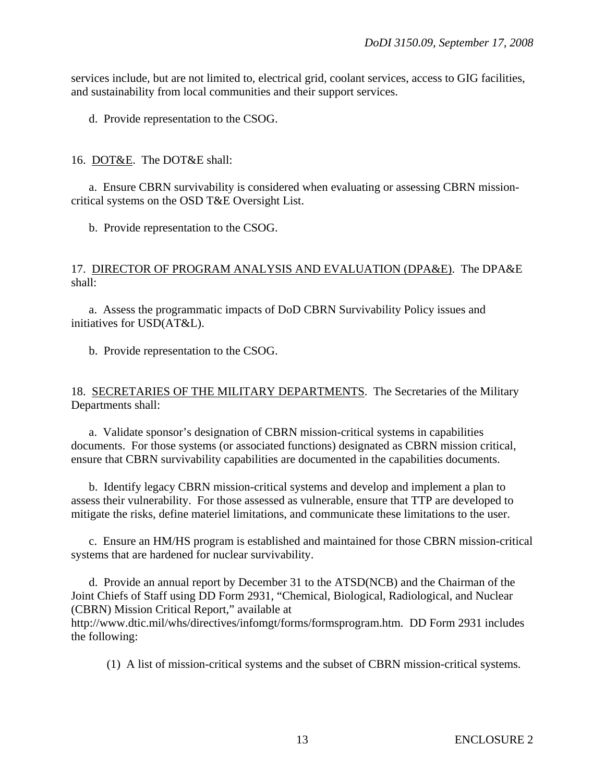services include, but are not limited to, electrical grid, coolant services, access to GIG facilities, and sustainability from local communities and their support services.

d. Provide representation to the CSOG.

#### 16. DOT&E. The DOT&E shall:

 a. Ensure CBRN survivability is considered when evaluating or assessing CBRN missioncritical systems on the OSD T&E Oversight List.

b. Provide representation to the CSOG.

#### 17. DIRECTOR OF PROGRAM ANALYSIS AND EVALUATION (DPA&E). The DPA&E shall:

 a. Assess the programmatic impacts of DoD CBRN Survivability Policy issues and initiatives for USD(AT&L).

b. Provide representation to the CSOG.

#### 18. SECRETARIES OF THE MILITARY DEPARTMENTS. The Secretaries of the Military Departments shall:

 a. Validate sponsor's designation of CBRN mission-critical systems in capabilities documents. For those systems (or associated functions) designated as CBRN mission critical, ensure that CBRN survivability capabilities are documented in the capabilities documents.

 b. Identify legacy CBRN mission-critical systems and develop and implement a plan to assess their vulnerability. For those assessed as vulnerable, ensure that TTP are developed to mitigate the risks, define materiel limitations, and communicate these limitations to the user.

 c. Ensure an HM/HS program is established and maintained for those CBRN mission-critical systems that are hardened for nuclear survivability.

 d. Provide an annual report by December 31 to the ATSD(NCB) and the Chairman of the Joint Chiefs of Staff using DD Form 2931, "Chemical, Biological, Radiological, and Nuclear (CBRN) Mission Critical Report," available at http://www.dtic.mil/whs/directives/infomgt/forms/formsprogram.htm. DD Form 2931 includes the following:

(1) A list of mission-critical systems and the subset of CBRN mission-critical systems.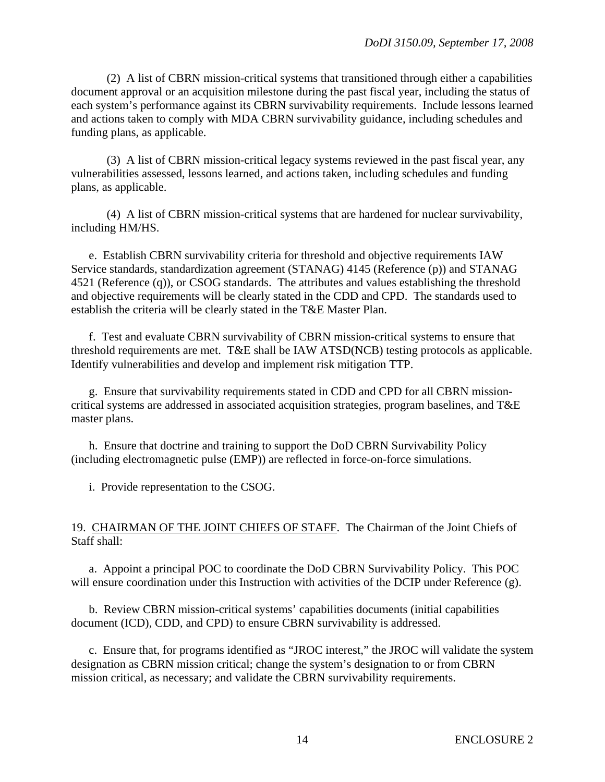(2) A list of CBRN mission-critical systems that transitioned through either a capabilities document approval or an acquisition milestone during the past fiscal year, including the status of each system's performance against its CBRN survivability requirements. Include lessons learned and actions taken to comply with MDA CBRN survivability guidance, including schedules and funding plans, as applicable.

 (3) A list of CBRN mission-critical legacy systems reviewed in the past fiscal year, any vulnerabilities assessed, lessons learned, and actions taken, including schedules and funding plans, as applicable.

 (4) A list of CBRN mission-critical systems that are hardened for nuclear survivability, including HM/HS.

 e. Establish CBRN survivability criteria for threshold and objective requirements IAW Service standards, standardization agreement (STANAG) 4145 (Reference (p)) and STANAG 4521 (Reference (q)), or CSOG standards. The attributes and values establishing the threshold and objective requirements will be clearly stated in the CDD and CPD. The standards used to establish the criteria will be clearly stated in the T&E Master Plan.

 f. Test and evaluate CBRN survivability of CBRN mission-critical systems to ensure that threshold requirements are met. T&E shall be IAW ATSD(NCB) testing protocols as applicable. Identify vulnerabilities and develop and implement risk mitigation TTP.

 g. Ensure that survivability requirements stated in CDD and CPD for all CBRN missioncritical systems are addressed in associated acquisition strategies, program baselines, and T&E master plans.

 h. Ensure that doctrine and training to support the DoD CBRN Survivability Policy (including electromagnetic pulse (EMP)) are reflected in force-on-force simulations.

i. Provide representation to the CSOG.

#### 19. CHAIRMAN OF THE JOINT CHIEFS OF STAFF. The Chairman of the Joint Chiefs of Staff shall:

 a. Appoint a principal POC to coordinate the DoD CBRN Survivability Policy. This POC will ensure coordination under this Instruction with activities of the DCIP under Reference (g).

 b. Review CBRN mission-critical systems' capabilities documents (initial capabilities document (ICD), CDD, and CPD) to ensure CBRN survivability is addressed.

 c. Ensure that, for programs identified as "JROC interest," the JROC will validate the system designation as CBRN mission critical; change the system's designation to or from CBRN mission critical, as necessary; and validate the CBRN survivability requirements.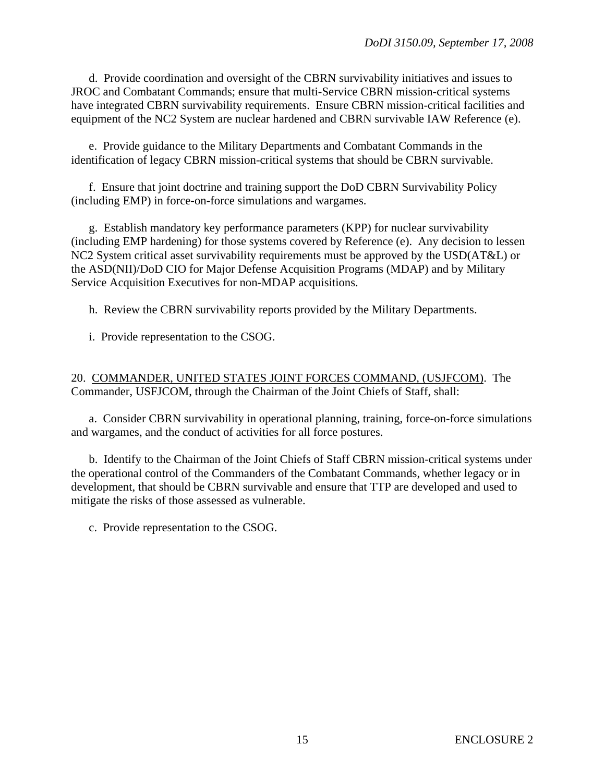d. Provide coordination and oversight of the CBRN survivability initiatives and issues to JROC and Combatant Commands; ensure that multi-Service CBRN mission-critical systems have integrated CBRN survivability requirements. Ensure CBRN mission-critical facilities and equipment of the NC2 System are nuclear hardened and CBRN survivable IAW Reference (e).

 e. Provide guidance to the Military Departments and Combatant Commands in the identification of legacy CBRN mission-critical systems that should be CBRN survivable.

 f. Ensure that joint doctrine and training support the DoD CBRN Survivability Policy (including EMP) in force-on-force simulations and wargames.

 g. Establish mandatory key performance parameters (KPP) for nuclear survivability (including EMP hardening) for those systems covered by Reference (e). Any decision to lessen NC2 System critical asset survivability requirements must be approved by the USD(AT&L) or the ASD(NII)/DoD CIO for Major Defense Acquisition Programs (MDAP) and by Military Service Acquisition Executives for non-MDAP acquisitions.

h. Review the CBRN survivability reports provided by the Military Departments.

i. Provide representation to the CSOG.

#### 20. COMMANDER, UNITED STATES JOINT FORCES COMMAND, (USJFCOM). The Commander, USFJCOM, through the Chairman of the Joint Chiefs of Staff, shall:

 a. Consider CBRN survivability in operational planning, training, force-on-force simulations and wargames, and the conduct of activities for all force postures.

 b. Identify to the Chairman of the Joint Chiefs of Staff CBRN mission-critical systems under the operational control of the Commanders of the Combatant Commands, whether legacy or in development, that should be CBRN survivable and ensure that TTP are developed and used to mitigate the risks of those assessed as vulnerable.

c. Provide representation to the CSOG.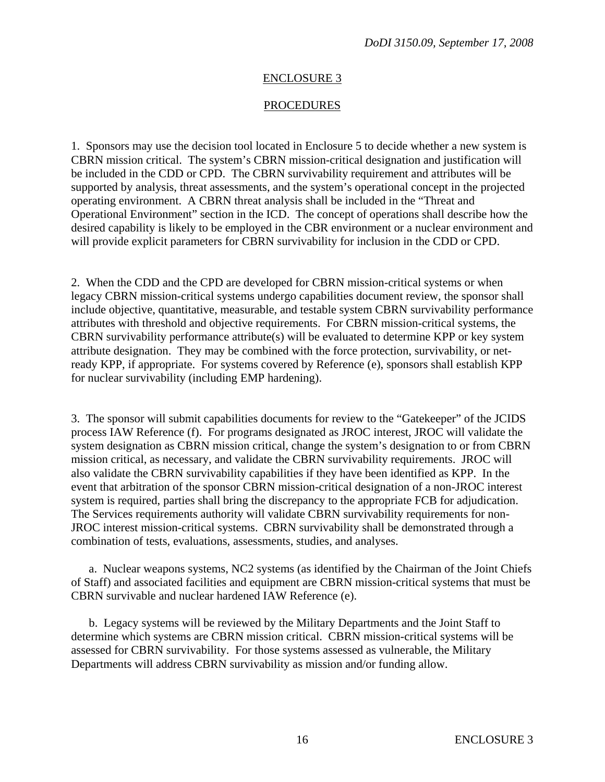#### **PROCEDURES**

1. Sponsors may use the decision tool located in Enclosure 5 to decide whether a new system is CBRN mission critical. The system's CBRN mission-critical designation and justification will be included in the CDD or CPD. The CBRN survivability requirement and attributes will be supported by analysis, threat assessments, and the system's operational concept in the projected operating environment. A CBRN threat analysis shall be included in the "Threat and Operational Environment" section in the ICD. The concept of operations shall describe how the desired capability is likely to be employed in the CBR environment or a nuclear environment and will provide explicit parameters for CBRN survivability for inclusion in the CDD or CPD.

2. When the CDD and the CPD are developed for CBRN mission-critical systems or when legacy CBRN mission-critical systems undergo capabilities document review, the sponsor shall include objective, quantitative, measurable, and testable system CBRN survivability performance attributes with threshold and objective requirements. For CBRN mission-critical systems, the CBRN survivability performance attribute(s) will be evaluated to determine KPP or key system attribute designation. They may be combined with the force protection, survivability, or netready KPP, if appropriate. For systems covered by Reference (e), sponsors shall establish KPP for nuclear survivability (including EMP hardening).

3. The sponsor will submit capabilities documents for review to the "Gatekeeper" of the JCIDS process IAW Reference (f). For programs designated as JROC interest, JROC will validate the system designation as CBRN mission critical, change the system's designation to or from CBRN mission critical, as necessary, and validate the CBRN survivability requirements. JROC will also validate the CBRN survivability capabilities if they have been identified as KPP. In the event that arbitration of the sponsor CBRN mission-critical designation of a non-JROC interest system is required, parties shall bring the discrepancy to the appropriate FCB for adjudication. The Services requirements authority will validate CBRN survivability requirements for non-JROC interest mission-critical systems. CBRN survivability shall be demonstrated through a combination of tests, evaluations, assessments, studies, and analyses.

 a. Nuclear weapons systems, NC2 systems (as identified by the Chairman of the Joint Chiefs of Staff) and associated facilities and equipment are CBRN mission-critical systems that must be CBRN survivable and nuclear hardened IAW Reference (e).

 b. Legacy systems will be reviewed by the Military Departments and the Joint Staff to determine which systems are CBRN mission critical. CBRN mission-critical systems will be assessed for CBRN survivability. For those systems assessed as vulnerable, the Military Departments will address CBRN survivability as mission and/or funding allow.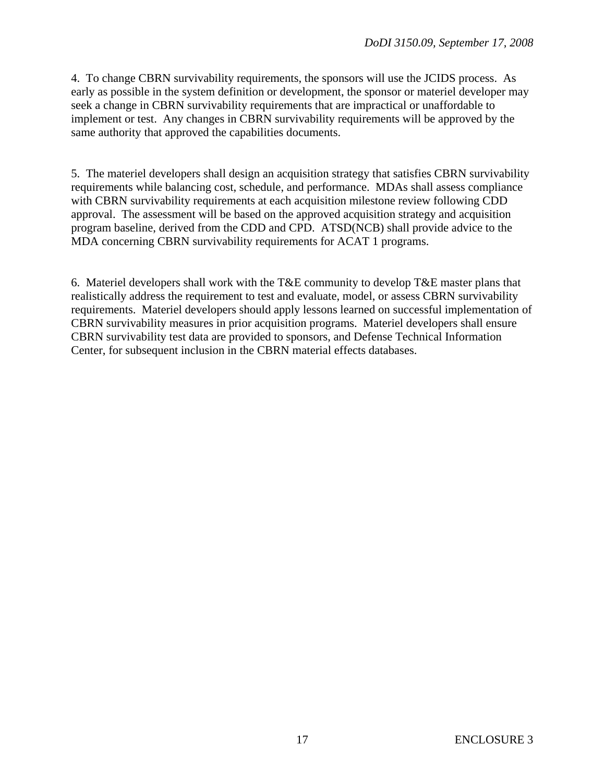4. To change CBRN survivability requirements, the sponsors will use the JCIDS process. As early as possible in the system definition or development, the sponsor or materiel developer may seek a change in CBRN survivability requirements that are impractical or unaffordable to implement or test. Any changes in CBRN survivability requirements will be approved by the same authority that approved the capabilities documents.

5. The materiel developers shall design an acquisition strategy that satisfies CBRN survivability requirements while balancing cost, schedule, and performance. MDAs shall assess compliance with CBRN survivability requirements at each acquisition milestone review following CDD approval. The assessment will be based on the approved acquisition strategy and acquisition program baseline, derived from the CDD and CPD. ATSD(NCB) shall provide advice to the MDA concerning CBRN survivability requirements for ACAT 1 programs.

6. Materiel developers shall work with the T&E community to develop T&E master plans that realistically address the requirement to test and evaluate, model, or assess CBRN survivability requirements. Materiel developers should apply lessons learned on successful implementation of CBRN survivability measures in prior acquisition programs. Materiel developers shall ensure CBRN survivability test data are provided to sponsors, and Defense Technical Information Center, for subsequent inclusion in the CBRN material effects databases.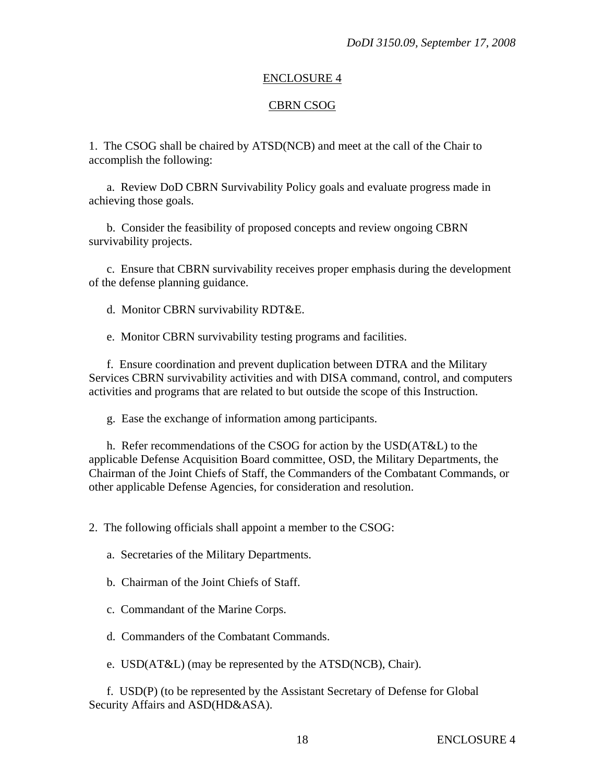#### CBRN CSOG

1. The CSOG shall be chaired by ATSD(NCB) and meet at the call of the Chair to accomplish the following:

 a. Review DoD CBRN Survivability Policy goals and evaluate progress made in achieving those goals.

 b. Consider the feasibility of proposed concepts and review ongoing CBRN survivability projects.

 c. Ensure that CBRN survivability receives proper emphasis during the development of the defense planning guidance.

d. Monitor CBRN survivability RDT&E.

e. Monitor CBRN survivability testing programs and facilities.

 f. Ensure coordination and prevent duplication between DTRA and the Military Services CBRN survivability activities and with DISA command, control, and computers activities and programs that are related to but outside the scope of this Instruction.

g. Ease the exchange of information among participants.

 h. Refer recommendations of the CSOG for action by the USD(AT&L) to the applicable Defense Acquisition Board committee, OSD, the Military Departments, the Chairman of the Joint Chiefs of Staff, the Commanders of the Combatant Commands, or other applicable Defense Agencies, for consideration and resolution.

2. The following officials shall appoint a member to the CSOG:

a. Secretaries of the Military Departments.

b. Chairman of the Joint Chiefs of Staff.

c. Commandant of the Marine Corps.

d. Commanders of the Combatant Commands.

e. USD(AT&L) (may be represented by the ATSD(NCB), Chair).

 f. USD(P) (to be represented by the Assistant Secretary of Defense for Global Security Affairs and ASD(HD&ASA).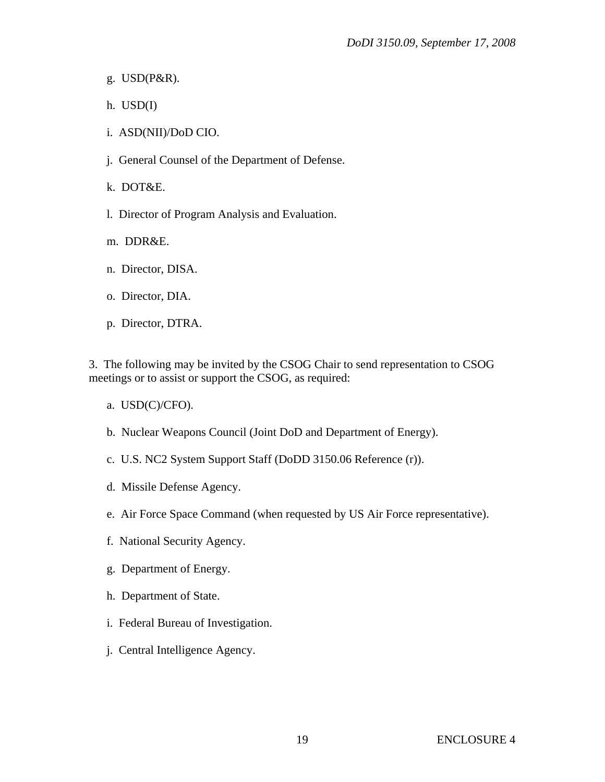- g. USD(P&R).
- h. USD(I)
- i. ASD(NII)/DoD CIO.
- j. General Counsel of the Department of Defense.
- k. DOT&E.
- l. Director of Program Analysis and Evaluation.
- m. DDR&E.
- n. Director, DISA.
- o. Director, DIA.
- p. Director, DTRA.

3. The following may be invited by the CSOG Chair to send representation to CSOG meetings or to assist or support the CSOG, as required:

- a. USD(C)/CFO).
- b. Nuclear Weapons Council (Joint DoD and Department of Energy).
- c. U.S. NC2 System Support Staff (DoDD 3150.06 Reference (r)).
- d. Missile Defense Agency.
- e. Air Force Space Command (when requested by US Air Force representative).
- f. National Security Agency.
- g. Department of Energy.
- h. Department of State.
- i. Federal Bureau of Investigation.
- j. Central Intelligence Agency.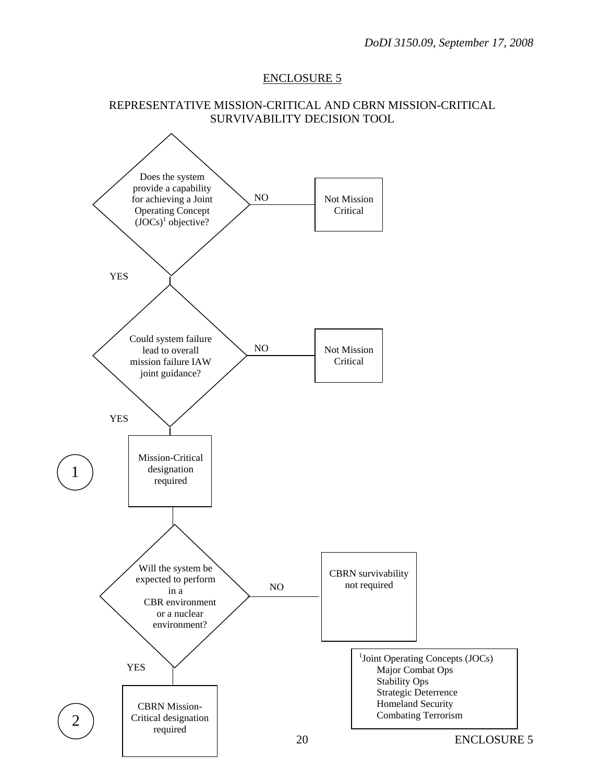#### REPRESENTATIVE MISSION-CRITICAL AND CBRN MISSION-CRITICAL SURVIVABILITY DECISION TOOL

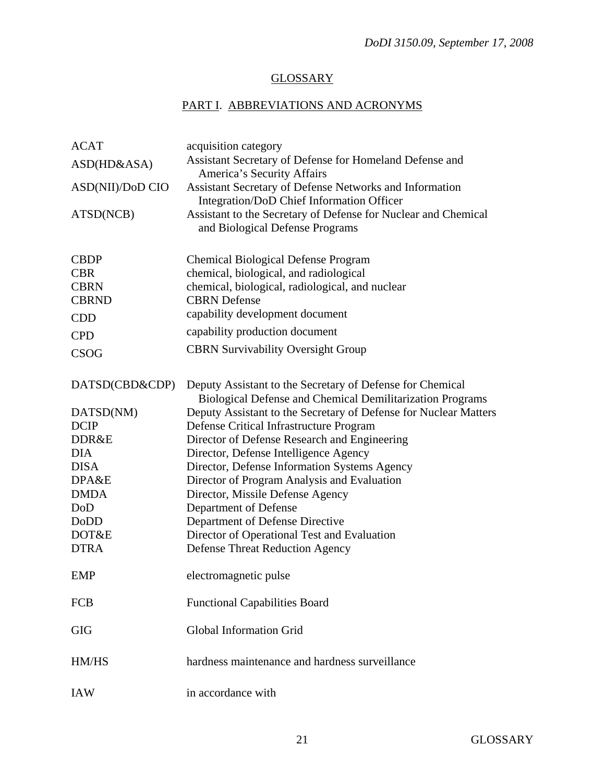# **GLOSSARY**

# PART I. ABBREVIATIONS AND ACRONYMS

| <b>ACAT</b>      | acquisition category                                                                                                   |
|------------------|------------------------------------------------------------------------------------------------------------------------|
| ASD(HD&ASA)      | Assistant Secretary of Defense for Homeland Defense and                                                                |
|                  | America's Security Affairs                                                                                             |
| ASD(NII)/DoD CIO | Assistant Secretary of Defense Networks and Information                                                                |
|                  | Integration/DoD Chief Information Officer                                                                              |
| ATSD(NCB)        | Assistant to the Secretary of Defense for Nuclear and Chemical                                                         |
|                  | and Biological Defense Programs                                                                                        |
|                  |                                                                                                                        |
| <b>CBDP</b>      | <b>Chemical Biological Defense Program</b>                                                                             |
| <b>CBR</b>       | chemical, biological, and radiological                                                                                 |
| <b>CBRN</b>      | chemical, biological, radiological, and nuclear                                                                        |
| <b>CBRND</b>     | <b>CBRN</b> Defense                                                                                                    |
| <b>CDD</b>       | capability development document                                                                                        |
| <b>CPD</b>       | capability production document                                                                                         |
| <b>CSOG</b>      | <b>CBRN Survivability Oversight Group</b>                                                                              |
|                  |                                                                                                                        |
| DATSD(CBD&CDP)   |                                                                                                                        |
|                  | Deputy Assistant to the Secretary of Defense for Chemical<br>Biological Defense and Chemical Demilitarization Programs |
| DATSD(NM)        | Deputy Assistant to the Secretary of Defense for Nuclear Matters                                                       |
| <b>DCIP</b>      | Defense Critical Infrastructure Program                                                                                |
| DDR&E            | Director of Defense Research and Engineering                                                                           |
| <b>DIA</b>       | Director, Defense Intelligence Agency                                                                                  |
| <b>DISA</b>      | Director, Defense Information Systems Agency                                                                           |
| DPA&E            | Director of Program Analysis and Evaluation                                                                            |
| <b>DMDA</b>      | Director, Missile Defense Agency                                                                                       |
| DoD              | Department of Defense                                                                                                  |
| DoDD             | Department of Defense Directive                                                                                        |
| DOT&E            | Director of Operational Test and Evaluation                                                                            |
| <b>DTRA</b>      | <b>Defense Threat Reduction Agency</b>                                                                                 |
|                  |                                                                                                                        |
| <b>EMP</b>       | electromagnetic pulse                                                                                                  |
|                  |                                                                                                                        |
| <b>FCB</b>       | <b>Functional Capabilities Board</b>                                                                                   |
|                  |                                                                                                                        |
| <b>GIG</b>       | <b>Global Information Grid</b>                                                                                         |
|                  |                                                                                                                        |
| HM/HS            | hardness maintenance and hardness surveillance                                                                         |
|                  |                                                                                                                        |
| <b>IAW</b>       | in accordance with                                                                                                     |
|                  |                                                                                                                        |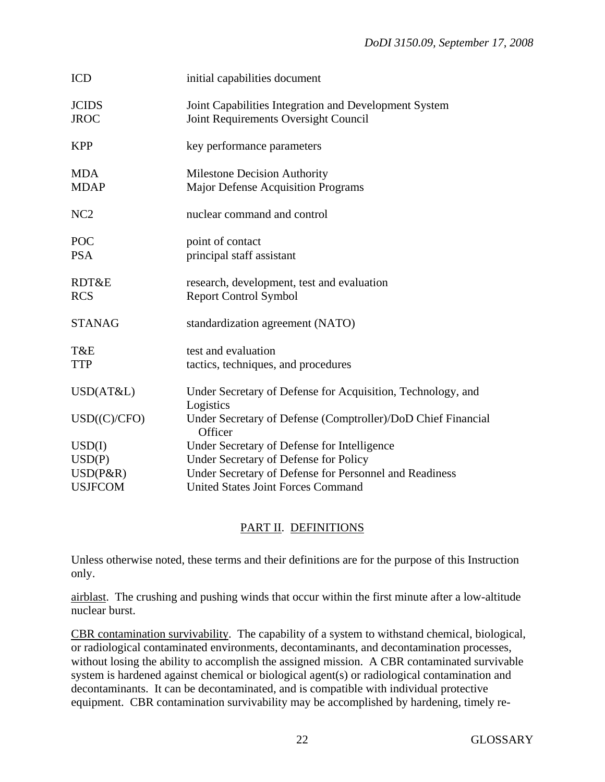| <b>ICD</b>                  | initial capabilities document                                                                 |
|-----------------------------|-----------------------------------------------------------------------------------------------|
| <b>JCIDS</b><br><b>JROC</b> | Joint Capabilities Integration and Development System<br>Joint Requirements Oversight Council |
| <b>KPP</b>                  | key performance parameters                                                                    |
| <b>MDA</b><br><b>MDAP</b>   | <b>Milestone Decision Authority</b><br>Major Defense Acquisition Programs                     |
| NC <sub>2</sub>             | nuclear command and control                                                                   |
| POC<br><b>PSA</b>           | point of contact<br>principal staff assistant                                                 |
| RDT&E<br><b>RCS</b>         | research, development, test and evaluation<br><b>Report Control Symbol</b>                    |
| <b>STANAG</b>               | standardization agreement (NATO)                                                              |
| T&E<br><b>TTP</b>           | test and evaluation<br>tactics, techniques, and procedures                                    |
| USD(AT&L)                   | Under Secretary of Defense for Acquisition, Technology, and<br>Logistics                      |
| USD(C)/CFO)                 | Under Secretary of Defense (Comptroller)/DoD Chief Financial<br>Officer                       |
| USD(I)                      | Under Secretary of Defense for Intelligence                                                   |
| USD(P)                      | Under Secretary of Defense for Policy                                                         |
| $USD(P\&R)$                 | Under Secretary of Defense for Personnel and Readiness                                        |
| <b>USJFCOM</b>              | <b>United States Joint Forces Command</b>                                                     |

# PART II. DEFINITIONS

Unless otherwise noted, these terms and their definitions are for the purpose of this Instruction only.

airblast. The crushing and pushing winds that occur within the first minute after a low-altitude nuclear burst.

CBR contamination survivability. The capability of a system to withstand chemical, biological, or radiological contaminated environments, decontaminants, and decontamination processes, without losing the ability to accomplish the assigned mission. A CBR contaminated survivable system is hardened against chemical or biological agent(s) or radiological contamination and decontaminants. It can be decontaminated, and is compatible with individual protective equipment. CBR contamination survivability may be accomplished by hardening, timely re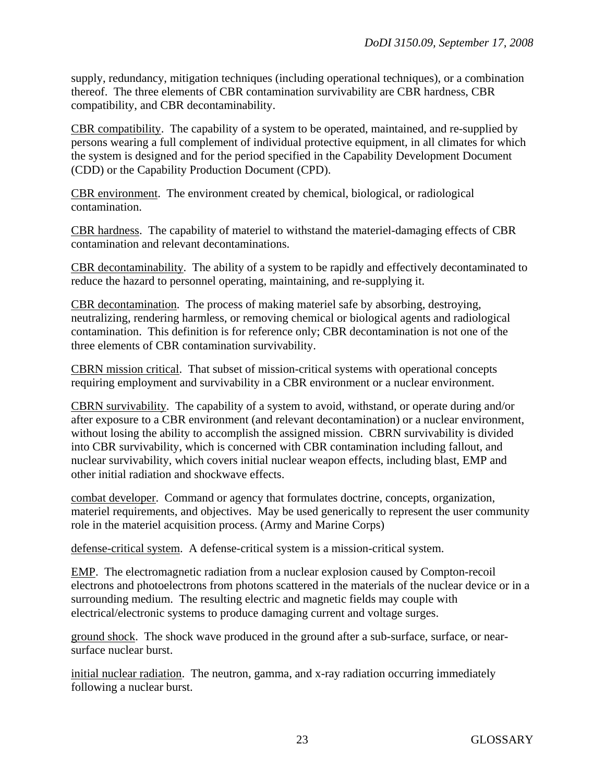supply, redundancy, mitigation techniques (including operational techniques), or a combination thereof. The three elements of CBR contamination survivability are CBR hardness, CBR compatibility, and CBR decontaminability.

CBR compatibility. The capability of a system to be operated, maintained, and re-supplied by persons wearing a full complement of individual protective equipment, in all climates for which the system is designed and for the period specified in the Capability Development Document (CDD) or the Capability Production Document (CPD).

CBR environment. The environment created by chemical, biological, or radiological contamination.

CBR hardness. The capability of materiel to withstand the materiel-damaging effects of CBR contamination and relevant decontaminations.

CBR decontaminability. The ability of a system to be rapidly and effectively decontaminated to reduce the hazard to personnel operating, maintaining, and re-supplying it.

CBR decontamination. The process of making materiel safe by absorbing, destroying, neutralizing, rendering harmless, or removing chemical or biological agents and radiological contamination. This definition is for reference only; CBR decontamination is not one of the three elements of CBR contamination survivability.

CBRN mission critical. That subset of mission-critical systems with operational concepts requiring employment and survivability in a CBR environment or a nuclear environment.

CBRN survivability. The capability of a system to avoid, withstand, or operate during and/or after exposure to a CBR environment (and relevant decontamination) or a nuclear environment, without losing the ability to accomplish the assigned mission. CBRN survivability is divided into CBR survivability, which is concerned with CBR contamination including fallout, and nuclear survivability, which covers initial nuclear weapon effects, including blast, EMP and other initial radiation and shockwave effects.

combat developer. Command or agency that formulates doctrine, concepts, organization, materiel requirements, and objectives. May be used generically to represent the user community role in the materiel acquisition process. (Army and Marine Corps)

defense-critical system. A defense-critical system is a mission-critical system.

EMP. The electromagnetic radiation from a nuclear explosion caused by Compton-recoil electrons and photoelectrons from photons scattered in the materials of the nuclear device or in a surrounding medium. The resulting electric and magnetic fields may couple with electrical/electronic systems to produce damaging current and voltage surges.

ground shock. The shock wave produced in the ground after a sub-surface, surface, or nearsurface nuclear burst.

initial nuclear radiation. The neutron, gamma, and x-ray radiation occurring immediately following a nuclear burst.